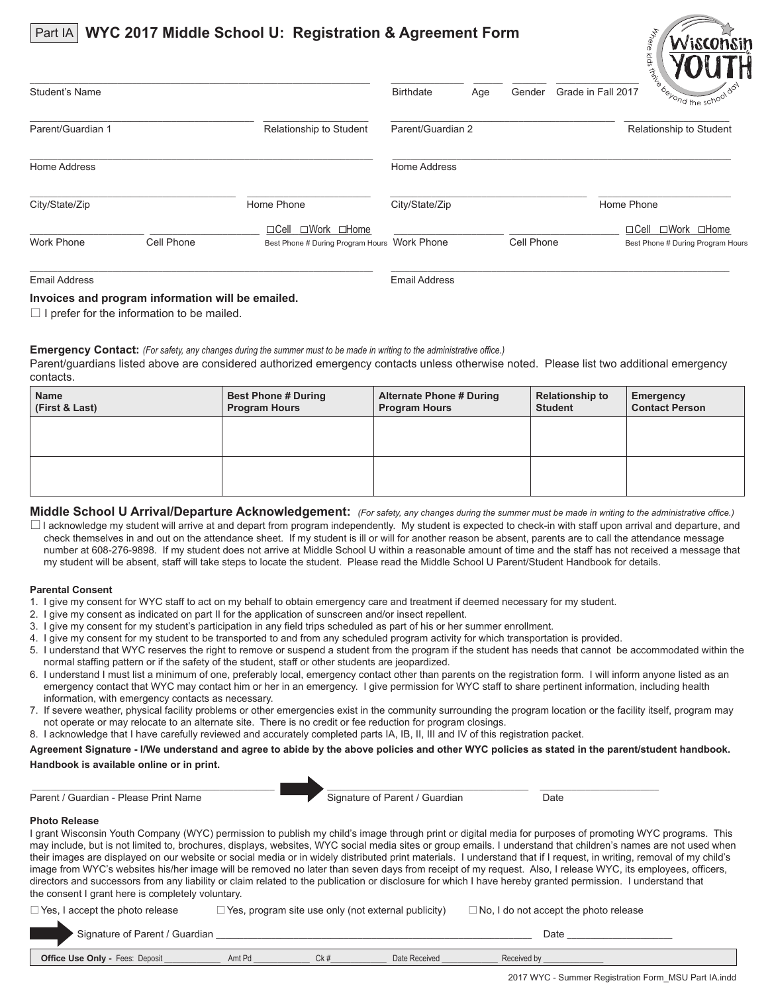#### Part IA **WYC 2017 Middle School U: Registration & Agreement Form**



| Student's Name    |            |                                                                            | <b>Birthdate</b>  | Age | Gender     | Grade in Fall 2017 | $-$ u17 $\frac{a_{\phi}}{b_{\phi}}$ <sub>ond the school</sub> $\delta^{\sigma}$ |
|-------------------|------------|----------------------------------------------------------------------------|-------------------|-----|------------|--------------------|---------------------------------------------------------------------------------|
| Parent/Guardian 1 |            | Relationship to Student                                                    | Parent/Guardian 2 |     |            |                    | Relationship to Student                                                         |
| Home Address      |            |                                                                            | Home Address      |     |            |                    |                                                                                 |
| City/State/Zip    |            | Home Phone                                                                 | City/State/Zip    |     |            |                    | Home Phone                                                                      |
| <b>Work Phone</b> | Cell Phone | □Work □Home<br>$\Box$ Cell<br>Best Phone # During Program Hours Work Phone |                   |     | Cell Phone |                    | □Work □Home<br>$\Box$ Cell<br>Best Phone # During Program Hours                 |
|                   |            |                                                                            |                   |     |            |                    |                                                                                 |

#### Email Address Email Address

### **Invoices and program information will be emailed.**

 $\Box$  I prefer for the information to be mailed.

**Emergency Contact:** *(For safety, any changes during the summer must to be made in writing to the administrative office.)*

Parent/guardians listed above are considered authorized emergency contacts unless otherwise noted. Please list two additional emergency contacts.

| <b>Name</b><br>(First & Last) | <b>Best Phone # During</b><br><b>Program Hours</b> | <b>Alternate Phone # During</b><br><b>Program Hours</b> | <b>Relationship to</b><br><b>Student</b> | <b>Emergency</b><br><b>Contact Person</b> |
|-------------------------------|----------------------------------------------------|---------------------------------------------------------|------------------------------------------|-------------------------------------------|
|                               |                                                    |                                                         |                                          |                                           |
|                               |                                                    |                                                         |                                          |                                           |

**Middle School U Arrival/Departure Acknowledgement:** *(For safety, any changes during the summer must be made in writing to the administrative office.)*

 $\Box$  I acknowledge my student will arrive at and depart from program independently. My student is expected to check-in with staff upon arrival and departure, and check themselves in and out on the attendance sheet. If my student is ill or will for another reason be absent, parents are to call the attendance message number at 608-276-9898. If my student does not arrive at Middle School U within a reasonable amount of time and the staff has not received a message that my student will be absent, staff will take steps to locate the student. Please read the Middle School U Parent/Student Handbook for details.

#### **Parental Consent**

- 1. I give my consent for WYC staff to act on my behalf to obtain emergency care and treatment if deemed necessary for my student.
- 2. I give my consent as indicated on part II for the application of sunscreen and/or insect repellent.
- 3. I give my consent for my student's participation in any field trips scheduled as part of his or her summer enrollment.
- 4. I give my consent for my student to be transported to and from any scheduled program activity for which transportation is provided.
- 5. I understand that WYC reserves the right to remove or suspend a student from the program if the student has needs that cannot be accommodated within the normal staffing pattern or if the safety of the student, staff or other students are jeopardized.
- 6. I understand I must list a minimum of one, preferably local, emergency contact other than parents on the registration form. I will inform anyone listed as an emergency contact that WYC may contact him or her in an emergency. I give permission for WYC staff to share pertinent information, including health information, with emergency contacts as necessary.
- 7. If severe weather, physical facility problems or other emergencies exist in the community surrounding the program location or the facility itself, program may not operate or may relocate to an alternate site. There is no credit or fee reduction for program closings.
- 8. I acknowledge that I have carefully reviewed and accurately completed parts IA, IB, II, III and IV of this registration packet.

Agreement Signature - I/We understand and agree to abide by the above policies and other WYC policies as stated in the parent/student handbook. **Handbook is available online or in print.**

Parent / Guardian - Please Print Name Signature of Parent / Guardian Date

\_\_\_\_\_\_\_\_\_\_\_\_\_\_\_\_\_\_\_\_\_\_\_\_\_\_\_\_\_\_\_\_\_\_\_\_\_\_\_\_\_\_\_\_\_\_\_\_\_\_\_\_\_ \_\_\_\_\_\_\_\_\_\_\_\_\_\_\_\_\_\_\_\_\_\_\_\_\_\_\_\_\_\_\_\_\_\_\_\_\_\_\_\_\_\_\_\_ \_\_\_\_\_\_\_\_\_\_\_\_\_\_\_\_\_\_\_\_\_\_\_\_\_\_

#### **Photo Release**

I grant Wisconsin Youth Company (WYC) permission to publish my child's image through print or digital media for purposes of promoting WYC programs. This may include, but is not limited to, brochures, displays, websites, WYC social media sites or group emails. I understand that children's names are not used when their images are displayed on our website or social media or in widely distributed print materials. I understand that if I request, in writing, removal of my child's image from WYC's websites his/her image will be removed no later than seven days from receipt of my request. Also, I release WYC, its employees, officers, directors and successors from any liability or claim related to the publication or disclosure for which I have hereby granted permission. I understand that the consent I grant here is completely voluntary.

| $\Box$ Yes, I accept the photo release | $\Box$ Yes, program site use only (not external publicity) | $\Box$ No, I do not accept the photo release |
|----------------------------------------|------------------------------------------------------------|----------------------------------------------|
|                                        |                                                            |                                              |

| <b>.</b><br>Sianat<br>ылаг.<br>11 H              | dian <sup>.</sup> |     |                   | Date        |  |
|--------------------------------------------------|-------------------|-----|-------------------|-------------|--|
|                                                  |                   |     |                   |             |  |
| Fees:<br>Deposit<br><b>Office</b><br>Only<br>Use | Amt F             | Ck# | Date'<br>{eceived | Received by |  |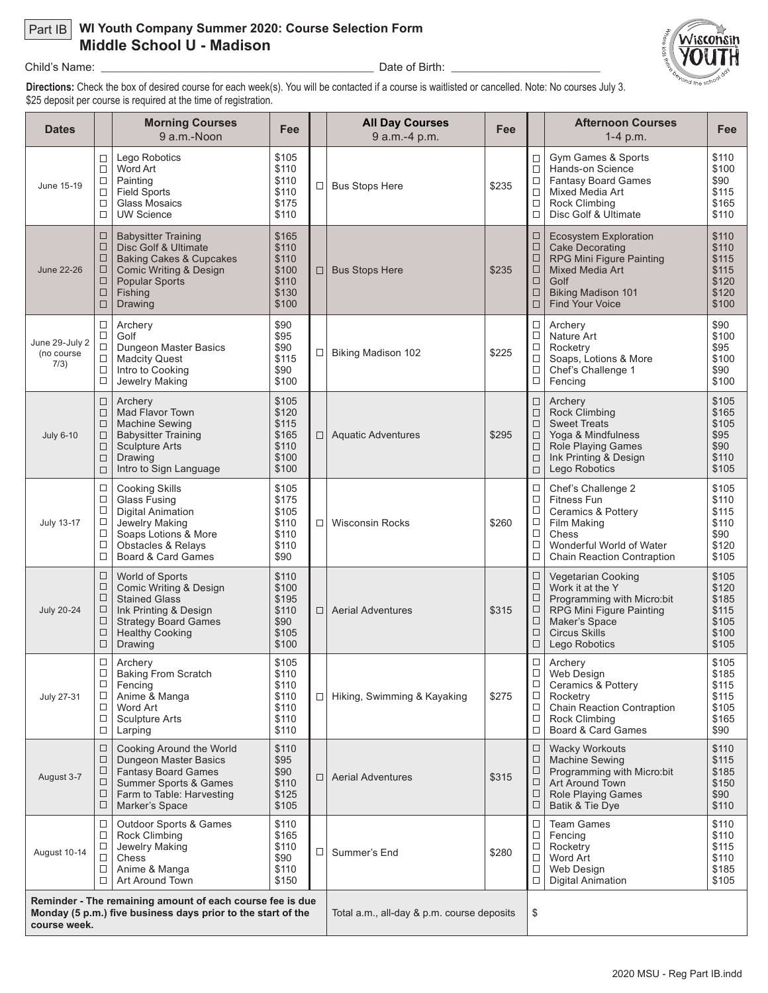# Part IB **WI Youth Company Summer 2020: Course Selection Form Middle School U - Madison**



Child's Name: \_\_\_\_\_\_\_\_\_\_\_\_\_\_\_\_\_\_\_\_\_\_\_\_\_\_\_\_\_\_\_\_\_\_\_\_\_\_\_\_\_\_\_\_\_\_\_\_\_\_\_\_\_ Date of Birth: \_\_\_\_\_\_\_\_\_\_\_\_\_\_\_\_\_\_\_\_\_\_\_\_\_\_\_\_\_

**Directions:** Check the box of desired course for each week(s). You will be contacted if a course is waitlisted or cancelled. Note: No courses July 3. \$25 deposit per course is required at the time of registration.

| <b>Dates</b>                         |                                                                                                                           | <b>Morning Courses</b><br>9 a.m.-Noon                                                                                                                                        | Fee                                                         |                                            | <b>All Day Courses</b><br>9 a.m.-4 p.m. | Fee   |                                                | <b>Afternoon Courses</b><br>$1-4$ p.m.                                                                                                                                      | Fee                                                         |
|--------------------------------------|---------------------------------------------------------------------------------------------------------------------------|------------------------------------------------------------------------------------------------------------------------------------------------------------------------------|-------------------------------------------------------------|--------------------------------------------|-----------------------------------------|-------|------------------------------------------------|-----------------------------------------------------------------------------------------------------------------------------------------------------------------------------|-------------------------------------------------------------|
| June 15-19                           | □<br>$\Box$<br>$\Box$<br>$\Box$<br>$\Box$<br>$\Box$                                                                       | Lego Robotics<br>Word Art<br>Painting<br><b>Field Sports</b><br>Glass Mosaics<br><b>UW Science</b>                                                                           | \$105<br>\$110<br>\$110<br>\$110<br>\$175<br>\$110          | $\Box$                                     | <b>Bus Stops Here</b>                   | \$235 | □<br>□<br>$\Box$<br>□<br>□<br>□                | Gym Games & Sports<br>Hands-on Science<br><b>Fantasy Board Games</b><br><b>Mixed Media Art</b><br>Rock Climbing<br>Disc Golf & Ultimate                                     | \$110<br>\$100<br>\$90<br>\$115<br>\$165<br>\$110           |
| <b>June 22-26</b>                    | $\Box$<br>$\Box$<br>$\Box$<br>$\Box$<br>$\Box$<br>$\Box$<br>$\Box$                                                        | <b>Babysitter Training</b><br>Disc Golf & Ultimate<br><b>Baking Cakes &amp; Cupcakes</b><br><b>Comic Writing &amp; Design</b><br><b>Popular Sports</b><br>Fishing<br>Drawing | \$165<br>\$110<br>\$110<br>\$100<br>\$110<br>\$130<br>\$100 | □                                          | <b>Bus Stops Here</b>                   | \$235 | □<br>□<br>□<br>□<br>$\Box$<br>$\Box$<br>□      | <b>Ecosystem Exploration</b><br><b>Cake Decorating</b><br>RPG Mini Figure Painting<br><b>Mixed Media Art</b><br>Golf<br><b>Biking Madison 101</b><br><b>Find Your Voice</b> | \$110<br>\$110<br>\$115<br>\$115<br>\$120<br>\$120<br>\$100 |
| June 29-July 2<br>(no course<br>7/3) | □<br>$\Box$<br>$\Box$<br>$\Box$<br>$\Box$<br>$\Box$                                                                       | Archery<br>Golf<br>Dungeon Master Basics<br><b>Madcity Quest</b><br>Intro to Cooking<br>Jewelry Making                                                                       | \$90<br>\$95<br>\$90<br>\$115<br>\$90<br>\$100              | □                                          | <b>Biking Madison 102</b>               | \$225 | □<br>□<br>$\Box$<br>□<br>□<br>□                | Archery<br>Nature Art<br>Rocketry<br>Soaps, Lotions & More<br>Chef's Challenge 1<br>Fencing                                                                                 | \$90<br>\$100<br>\$95<br>\$100<br>\$90<br>\$100             |
| <b>July 6-10</b>                     | $\Box$<br>$\Box$<br>$\Box$<br>$\Box$<br>$\Box$<br>$\Box$<br>$\Box$                                                        | Archery<br>Mad Flavor Town<br><b>Machine Sewing</b><br><b>Babysitter Training</b><br><b>Sculpture Arts</b><br>Drawing<br>Intro to Sign Language                              | \$105<br>\$120<br>\$115<br>\$165<br>\$110<br>\$100<br>\$100 |                                            | □   Aquatic Adventures                  | \$295 | □<br>□<br>$\Box$<br>$\Box$<br>□<br>□<br>□      | Archery<br><b>Rock Climbing</b><br><b>Sweet Treats</b><br>Yoga & Mindfulness<br><b>Role Playing Games</b><br>Ink Printing & Design<br>Lego Robotics                         | \$105<br>\$165<br>\$105<br>\$95<br>\$90<br>\$110<br>\$105   |
| <b>July 13-17</b>                    | □<br>$\Box$<br>$\Box$<br>$\Box$<br>□<br>$\Box$<br>$\Box$                                                                  | <b>Cooking Skills</b><br>Glass Fusing<br><b>Digital Animation</b><br>Jewelry Making<br>Soaps Lotions & More<br><b>Obstacles &amp; Relays</b><br>Board & Card Games           | \$105<br>\$175<br>\$105<br>\$110<br>\$110<br>\$110<br>\$90  | $\Box$                                     | <b>Wisconsin Rocks</b>                  | \$260 | □<br>$\Box$<br>□<br>□<br>$\Box$<br>□<br>□      | Chef's Challenge 2<br><b>Fitness Fun</b><br><b>Ceramics &amp; Pottery</b><br>Film Making<br>Chess<br>Wonderful World of Water<br><b>Chain Reaction Contraption</b>          | \$105<br>\$110<br>\$115<br>\$110<br>\$90<br>\$120<br>\$105  |
| <b>July 20-24</b>                    | $\Box$<br>□<br>□<br>□<br>$\Box$<br>$\Box$<br>$\Box$                                                                       | World of Sports<br>Comic Writing & Design<br><b>Stained Glass</b><br>Ink Printing & Design<br><b>Strategy Board Games</b><br><b>Healthy Cooking</b><br>Drawing               | \$110<br>\$100<br>\$195<br>\$110<br>\$90<br>\$105<br>\$100  | $\Box$                                     | <b>Aerial Adventures</b>                | \$315 | □<br>□<br>□<br>□<br>$\Box$<br>□<br>□           | Vegetarian Cooking<br>Work it at the Y<br>Programming with Micro:bit<br>RPG Mini Figure Painting<br>Maker's Space<br><b>Circus Skills</b><br>Lego Robotics                  | \$105<br>\$120<br>\$185<br>\$115<br>\$105<br>\$100<br>\$105 |
| <b>July 27-31</b>                    | $\Box$<br>□<br>$\Box$<br>$\Box$<br>$\Box$<br>$\Box$<br>$\Box$                                                             | Archery<br><b>Baking From Scratch</b><br>Fencing<br>Anime & Manga<br>Word Art<br>Sculpture Arts<br>Larping                                                                   | \$105<br>\$110<br>\$110<br>\$110<br>\$110<br>\$110<br>\$110 | □                                          | Hiking, Swimming & Kayaking             | \$275 | □<br>$\Box$<br>□<br>$\Box$<br>$\Box$<br>□<br>□ | Archery<br>Web Design<br>Ceramics & Pottery<br>Rocketry<br><b>Chain Reaction Contraption</b><br>Rock Climbing<br>Board & Card Games                                         | \$105<br>\$185<br>\$115<br>\$115<br>\$105<br>\$165<br>\$90  |
| August 3-7                           | □<br>$\Box$<br>$\Box$<br>$\Box$<br>□<br>$\Box$                                                                            | <b>Cooking Around the World</b><br>Dungeon Master Basics<br><b>Fantasy Board Games</b><br>Summer Sports & Games<br>Farm to Table: Harvesting<br>Marker's Space               | \$110<br>\$95<br>\$90<br>\$110<br>\$125<br>\$105            | $\Box$                                     | <b>Aerial Adventures</b>                | \$315 | ⊔<br>$\Box$<br>$\Box$<br>□<br>□<br>0           | <b>Wacky Workouts</b><br><b>Machine Sewing</b><br>Programming with Micro:bit<br>Art Around Town<br><b>Role Playing Games</b><br>Batik & Tie Dye                             | \$110<br>\$115<br>\$185<br>\$150<br>\$90<br>\$110           |
| August 10-14                         | $\Box$<br>$\Box$<br>$\Box$<br>□<br>$\Box$<br>$\Box$                                                                       | <b>Outdoor Sports &amp; Games</b><br>Rock Climbing<br>Jewelry Making<br>Chess<br>Anime & Manga<br>Art Around Town                                                            | \$110<br>\$165<br>\$110<br>\$90<br>\$110<br>\$150           | $\Box$                                     | Summer's End                            | \$280 | □<br>□<br>$\Box$<br>□<br>□<br>$\Box$           | <b>Team Games</b><br>Fencing<br>Rocketry<br>Word Art<br>Web Design<br><b>Digital Animation</b>                                                                              | \$110<br>\$110<br>\$115<br>\$110<br>\$185<br>\$105          |
| course week.                         | Reminder - The remaining amount of each course fee is due<br>Monday (5 p.m.) five business days prior to the start of the |                                                                                                                                                                              |                                                             | Total a.m., all-day & p.m. course deposits |                                         | \$    |                                                |                                                                                                                                                                             |                                                             |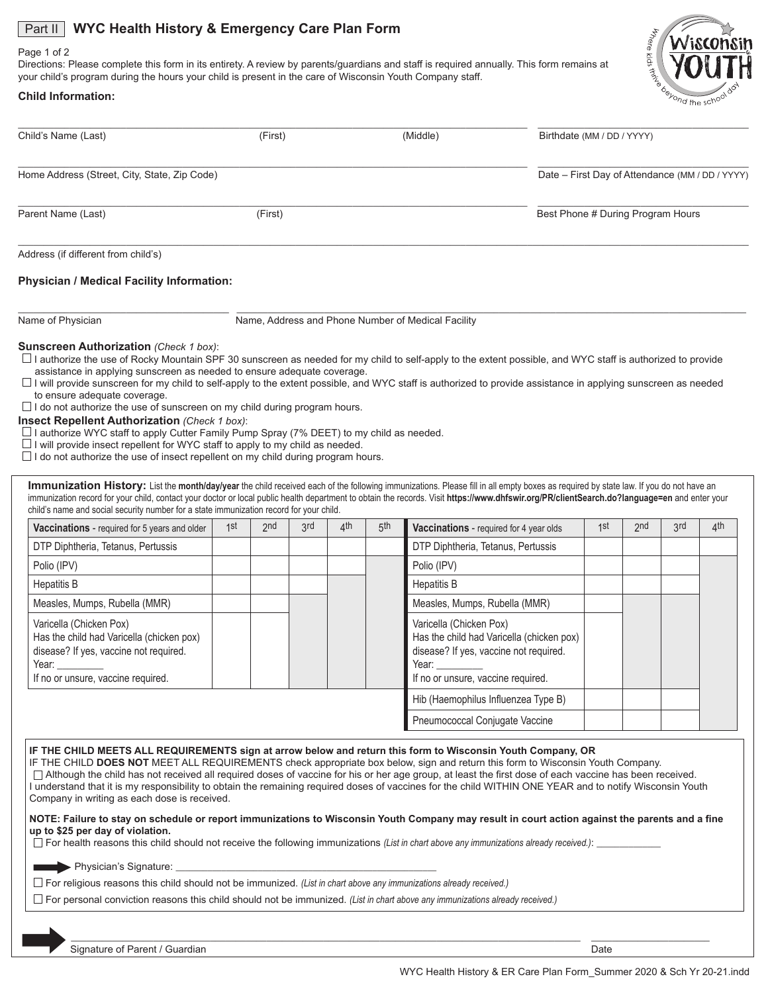# **Part II** WYC Health History & Emergency Care Plan Form

#### Page 1 of 2

Directions: Please complete this form in its entirety. A review by parents/guardians and staff is required annually. This form remains at your child's program during the hours your child is present in the care of Wisconsin Youth Company staff.



# **Child Information:**

| Child's Name (Last)                                                                                                                                                                                                                                                                                                                                                                                                                                             |     |         |     |     |     |                                                                                                                                                               |                                                 |     |     |     |
|-----------------------------------------------------------------------------------------------------------------------------------------------------------------------------------------------------------------------------------------------------------------------------------------------------------------------------------------------------------------------------------------------------------------------------------------------------------------|-----|---------|-----|-----|-----|---------------------------------------------------------------------------------------------------------------------------------------------------------------|-------------------------------------------------|-----|-----|-----|
|                                                                                                                                                                                                                                                                                                                                                                                                                                                                 |     | (First) |     |     |     | (Middle)                                                                                                                                                      | Birthdate (MM / DD / YYYY)                      |     |     |     |
| Home Address (Street, City, State, Zip Code)                                                                                                                                                                                                                                                                                                                                                                                                                    |     |         |     |     |     |                                                                                                                                                               | Date - First Day of Attendance (MM / DD / YYYY) |     |     |     |
| Parent Name (Last)                                                                                                                                                                                                                                                                                                                                                                                                                                              |     | (First) |     |     |     |                                                                                                                                                               | Best Phone # During Program Hours               |     |     |     |
| Address (if different from child's)                                                                                                                                                                                                                                                                                                                                                                                                                             |     |         |     |     |     |                                                                                                                                                               |                                                 |     |     |     |
| <b>Physician / Medical Facility Information:</b>                                                                                                                                                                                                                                                                                                                                                                                                                |     |         |     |     |     |                                                                                                                                                               |                                                 |     |     |     |
| Name of Physician                                                                                                                                                                                                                                                                                                                                                                                                                                               |     |         |     |     |     | Name, Address and Phone Number of Medical Facility                                                                                                            |                                                 |     |     |     |
|                                                                                                                                                                                                                                                                                                                                                                                                                                                                 |     |         |     |     |     |                                                                                                                                                               |                                                 |     |     |     |
| Immunization History: List the month/day/year the child received each of the following immunizations. Please fill in all empty boxes as required by state law. If you do not have an<br>immunization record for your child, contact your doctor or local public health department to obtain the records. Visit https://www.dhfswir.org/PR/clientSearch.do?language=en and enter your                                                                            |     |         |     |     |     |                                                                                                                                                               |                                                 |     |     |     |
| child's name and social security number for a state immunization record for your child.                                                                                                                                                                                                                                                                                                                                                                         | 1st | 2nd     | 3rd | 4th | 5th |                                                                                                                                                               | 1st                                             | 2nd | 3rd | 4th |
| <b>Vaccinations</b> - required for 5 years and older<br>DTP Diphtheria, Tetanus, Pertussis                                                                                                                                                                                                                                                                                                                                                                      |     |         |     |     |     | Vaccinations - required for 4 year olds<br>DTP Diphtheria, Tetanus, Pertussis                                                                                 |                                                 |     |     |     |
| Polio (IPV)                                                                                                                                                                                                                                                                                                                                                                                                                                                     |     |         |     |     |     | Polio (IPV)                                                                                                                                                   |                                                 |     |     |     |
| <b>Hepatitis B</b>                                                                                                                                                                                                                                                                                                                                                                                                                                              |     |         |     |     |     | Hepatitis B                                                                                                                                                   |                                                 |     |     |     |
| $\Box$ I do not authorize the use of sunscreen on my child during program hours.<br><b>Insect Repellent Authorization (Check 1 box):</b><br>$\Box$ I authorize WYC staff to apply Cutter Family Pump Spray (7% DEET) to my child as needed.<br>$\Box$ I will provide insect repellent for WYC staff to apply to my child as needed.<br>$\Box$ I do not authorize the use of insect repellent on my child during program hours.<br>Measles, Mumps, Rubella (MMR) |     |         |     |     |     | Measles, Mumps, Rubella (MMR)                                                                                                                                 |                                                 |     |     |     |
| Varicella (Chicken Pox)<br>Has the child had Varicella (chicken pox)<br>disease? If yes, vaccine not required.<br>Year:<br>If no or unsure, vaccine required.                                                                                                                                                                                                                                                                                                   |     |         |     |     |     | Varicella (Chicken Pox)<br>Has the child had Varicella (chicken pox)<br>disease? If yes, vaccine not required.<br>Year:<br>If no or unsure, vaccine required. |                                                 |     |     |     |
|                                                                                                                                                                                                                                                                                                                                                                                                                                                                 |     |         |     |     |     | Hib (Haemophilus Influenzea Type B)                                                                                                                           |                                                 |     |     |     |

For personal conviction reasons this child should not be immunized. *(List in chart above any immunizations already received.)*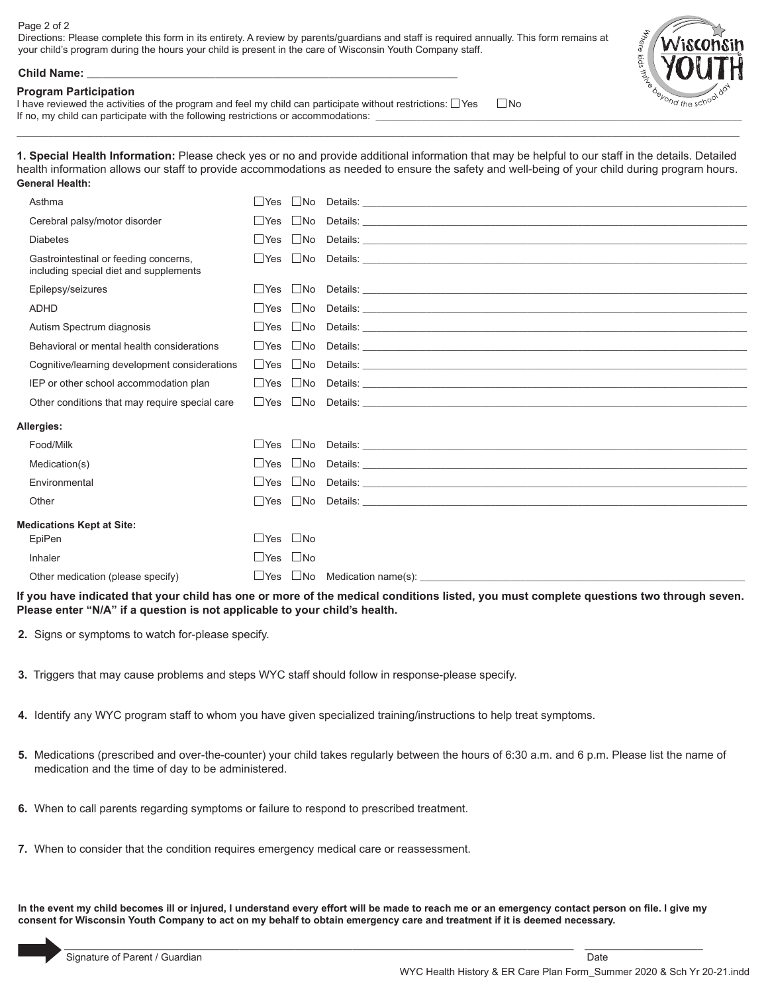### Page 2 of 2

Directions: Please complete this form in its entirety. A review by parents/guardians and staff is required annually. This form remains at your child's program during the hours your child is present in the care of Wisconsin Youth Company staff.



#### **Child Name:** \_\_\_\_\_\_\_\_\_\_\_\_\_\_\_\_\_\_\_\_\_\_\_\_\_\_\_\_\_\_\_\_\_\_\_\_\_\_\_\_\_\_\_\_\_\_\_\_\_\_\_\_\_\_\_\_\_\_\_\_\_\_\_\_\_\_\_\_\_\_\_\_

### **Program Participation**

I have reviewed the activities of the program and feel my child can participate without restrictions:  $\Box$ Yes  $\Box$  No If no, my child can participate with the following restrictions or accommodations:

**1. Special Health Information:** Please check yes or no and provide additional information that may be helpful to our staff in the details. Detailed health information allows our staff to provide accommodations as needed to ensure the safety and well-being of your child during program hours. **General Health:**

 $\_$  , and the state of the state of the state of the state of the state of the state of the state of the state of the state of the state of the state of the state of the state of the state of the state of the state of the

| Asthma                                                                          | $\Box$ Yes       | $\Box$ No    |                                                                                                                                                                                                                                      |
|---------------------------------------------------------------------------------|------------------|--------------|--------------------------------------------------------------------------------------------------------------------------------------------------------------------------------------------------------------------------------------|
| Cerebral palsy/motor disorder                                                   | $\Box$ Yes       | $\Box$ No    |                                                                                                                                                                                                                                      |
| <b>Diabetes</b>                                                                 | <b>Santa Yes</b> |              | No Details: <u>example and the set of the set of the set of the set of the set of the set of the set of the set of the set of the set of the set of the set of the set of the set of the set of the set of the set of the set of</u> |
| Gastrointestinal or feeding concerns,<br>including special diet and supplements | <b>Nes</b>       |              |                                                                                                                                                                                                                                      |
| Epilepsy/seizures                                                               | $\Box$ Yes       | $\Box$ No    |                                                                                                                                                                                                                                      |
| <b>ADHD</b>                                                                     | $\Box$ Yes       | $\Box$ No    |                                                                                                                                                                                                                                      |
| Autism Spectrum diagnosis                                                       | $\Box$ Yes       |              |                                                                                                                                                                                                                                      |
| Behavioral or mental health considerations                                      |                  |              |                                                                                                                                                                                                                                      |
| Cognitive/learning development considerations                                   |                  |              |                                                                                                                                                                                                                                      |
| IEP or other school accommodation plan                                          | $\Box$ Yes       |              |                                                                                                                                                                                                                                      |
| Other conditions that may require special care                                  | $\Box$ Yes       |              | No Details: <u>example and the set of the set of the set of the set of the set of the set of the set of the set of the set of the set of the set of the set of the set of the set of the set of the set of the set of the set of</u> |
| Allergies:                                                                      |                  |              |                                                                                                                                                                                                                                      |
| Food/Milk                                                                       | $\Box$ Yes       | $\Box$ No    |                                                                                                                                                                                                                                      |
| Medication(s)                                                                   | $\Box$ Yes       |              |                                                                                                                                                                                                                                      |
| Environmental                                                                   | $\sqcup$ Yes     |              |                                                                                                                                                                                                                                      |
| Other                                                                           | $\Box$ Yes       |              | $\Box$ No Details: $\Box$                                                                                                                                                                                                            |
| <b>Medications Kept at Site:</b>                                                |                  |              |                                                                                                                                                                                                                                      |
| EpiPen                                                                          | $\Box$ Yes       | $\square$ No |                                                                                                                                                                                                                                      |
| Inhaler                                                                         | $\Box$ Yes       | $\Box$ No    |                                                                                                                                                                                                                                      |
| Other medication (please specify)                                               | $\Box$ Yes       |              |                                                                                                                                                                                                                                      |

**If you have indicated that your child has one or more of the medical conditions listed, you must complete questions two through seven. Please enter "N/A" if a question is not applicable to your child's health.**

**2.** Signs or symptoms to watch for-please specify.

- **3.** Triggers that may cause problems and steps WYC staff should follow in response-please specify.
- **4.** Identify any WYC program staff to whom you have given specialized training/instructions to help treat symptoms.
- **5.** Medications (prescribed and over-the-counter) your child takes regularly between the hours of 6:30 a.m. and 6 p.m. Please list the name of medication and the time of day to be administered.
- **6.** When to call parents regarding symptoms or failure to respond to prescribed treatment.
- **7.** When to consider that the condition requires emergency medical care or reassessment.

**In the event my child becomes ill or injured, I understand every effort will be made to reach me or an emergency contact person on file. I give my consent for Wisconsin Youth Company to act on my behalf to obtain emergency care and treatment if it is deemed necessary.**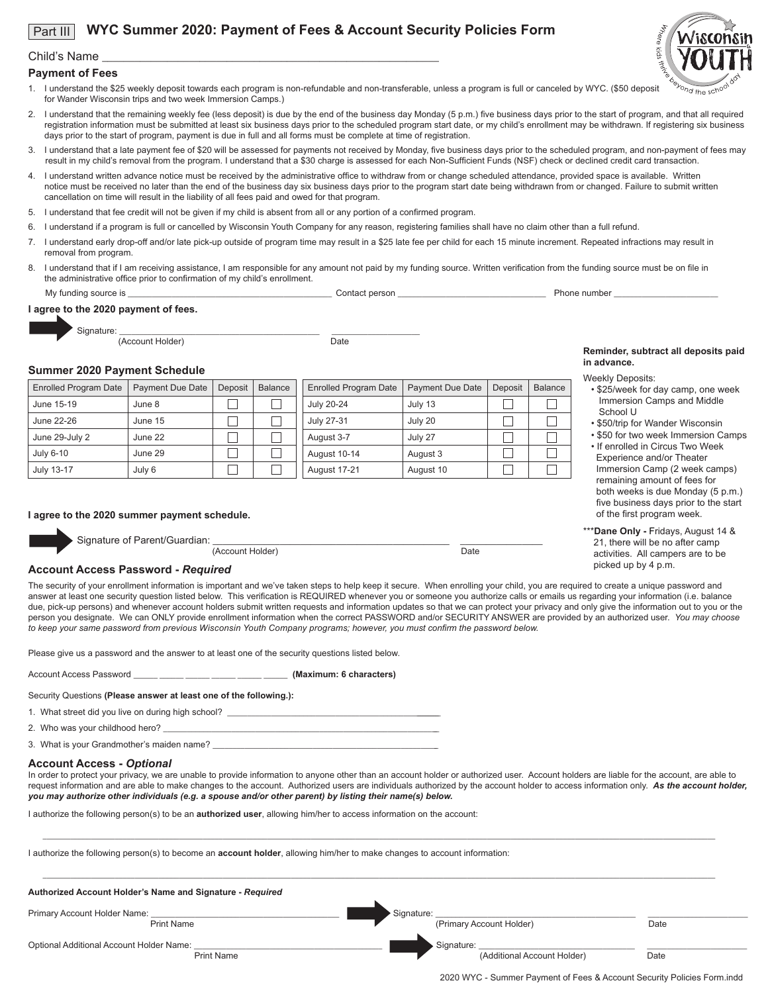#### **WYC Summer 2020: Payment of Fees & Account Security Policies Form**  Part III



### Child's Name

### **Payment of Fees**

- 1. I understand the \$25 weekly deposit towards each program is non-refundable and non-transferable, unless a program is full or canceled by WYC. (\$50 deposit for Wander Wisconsin trips and two week Immersion Camps.)
- 2. I understand that the remaining weekly fee (less deposit) is due by the end of the business day Monday (5 p.m.) five business days prior to the start of program, and that all required registration information must be submitted at least six business days prior to the scheduled program start date, or my child's enrollment may be withdrawn. If registering six business days prior to the start of program, payment is due in full and all forms must be complete at time of registration.
- 3. I understand that a late payment fee of \$20 will be assessed for payments not received by Monday, five business days prior to the scheduled program, and non-payment of fees may result in my child's removal from the program. I understand that a \$30 charge is assessed for each Non-Sufficient Funds (NSF) check or declined credit card transaction.
- 4. I understand written advance notice must be received by the administrative office to withdraw from or change scheduled attendance, provided space is available. Written notice must be received no later than the end of the business day six business days prior to the program start date being withdrawn from or changed. Failure to submit written cancellation on time will result in the liability of all fees paid and owed for that program.
- 5. I understand that fee credit will not be given if my child is absent from all or any portion of a confirmed program.
- 6. I understand if a program is full or cancelled by Wisconsin Youth Company for any reason, registering families shall have no claim other than a full refund.
- 7. I understand early drop-off and/or late pick-up outside of program time may result in a \$25 late fee per child for each 15 minute increment. Repeated infractions may result in removal from program.
- 8. I understand that if I am receiving assistance, I am responsible for any amount not paid by my funding source. Written verification from the funding source must be on file in the administrative office prior to confirmation of my child's enrollment.

My funding source is \_\_\_\_\_\_\_\_\_\_\_\_\_\_\_\_\_\_\_\_\_\_\_\_\_\_\_\_\_\_\_\_\_\_\_\_\_\_\_\_\_\_\_\_\_\_\_\_\_\_\_ Contact person \_\_\_\_\_\_\_\_\_\_\_\_\_\_\_\_\_\_\_\_\_\_\_\_\_\_\_\_\_\_\_\_\_\_\_\_\_ Phone number \_\_\_\_\_\_\_\_\_\_\_\_\_\_\_\_\_\_\_\_\_\_\_\_\_\_

2020 WYC - Summer Payment of Fees & Account Security Policies Form.indd

#### **I agree to the 2020 payment of fees.**



(Account Holder) Date

# **Summer 2020 Payment Schedule**

| <b>Enrolled Program Date</b> | <b>Payment Due Date</b> | Deposit | <b>Balance</b> | <b>Enrolled Program Date</b> | Payment Due Date | Deposit | Balance | <b>VV</b> |
|------------------------------|-------------------------|---------|----------------|------------------------------|------------------|---------|---------|-----------|
| June 15-19                   | June 8                  |         |                | July 20-24                   | July 13          |         |         |           |
| June 22-26                   | June 15                 |         |                | July 27-31                   | July 20          |         |         |           |
| June 29-July 2               | June 22                 |         |                | August 3-7                   | July 27          |         |         |           |
| July 6-10                    | June 29                 |         |                | August 10-14                 | August 3         |         |         |           |
| July 13-17                   | July 6                  |         |                | August 17-21                 | August 10        |         |         |           |

#### **I agree to the 2020 summer payment schedule.**



Signature of Parent/Guardian: <br>
(Account Holder) Date

#### **Reminder, subtract all deposits paid in advance.** Weekly Deposits:

- \$25/week for day camp, one week Immersion Camps and Middle School U
- \$50/trip for Wander Wisconsin
- \$50 for two week Immersion Camps • If enrolled in Circus Two Week Experience and/or Theater Immersion Camp (2 week camps) remaining amount of fees for both weeks is due Monday (5 p.m.) five business days prior to the start
- \*\*\***Dane Only** Fridays, August 14 & 21, there will be no after camp activities. All campers are to be picked up by 4 p.m.

of the first program week.

### **Account Access Password -** *Required*

The security of your enrollment information is important and we've taken steps to help keep it secure. When enrolling your child, you are required to create a unique password and answer at least one security question listed below. This verification is REQUIRED whenever you or someone you authorize calls or emails us regarding your information (i.e. balance due, pick-up persons) and whenever account holders submit written requests and information updates so that we can protect your privacy and only give the information out to you or the person you designate. We can ONLY provide enrollment information when the correct PASSWORD and/or SECURITY ANSWER are provided by an authorized user. *You may choose to keep your same password from previous Wisconsin Youth Company programs; however, you must confirm the password below.*

Please give us a password and the answer to at least one of the security questions listed below.

Account Access Password \_\_\_\_\_\_ \_\_\_\_\_\_ \_\_\_\_\_\_ \_\_\_\_\_\_ \_\_\_\_\_\_ \_\_\_\_\_\_ **(Maximum: 6 characters)**

Security Questions **(Please answer at least one of the following.):**

1. What street did you live on during high school? \_

2. Who was your childhood hero? \_

3. What is your Grandmother's maiden name?

# **Account Access -** *Optional*

In order to protect your privacy, we are unable to provide information to anyone other than an account holder or authorized user. Account holders are liable for the account, are able to request information and are able to make changes to the account. Authorized users are individuals authorized by the account holder to access information only. *As the account holder, you may authorize other individuals (e.g. a spouse and/or other parent) by listing their name(s) below.* 

\_\_\_\_\_\_\_\_\_\_\_\_\_\_\_\_\_\_\_\_\_\_\_\_\_\_\_\_\_\_\_\_\_\_\_\_\_\_\_\_\_\_\_\_\_\_\_\_\_\_\_\_\_\_\_\_\_\_\_\_\_\_\_\_\_\_\_\_\_\_\_\_\_\_\_\_\_\_\_\_\_\_\_\_\_\_\_\_\_\_\_\_\_\_\_\_\_\_\_\_\_\_\_\_\_\_\_\_\_\_\_\_\_\_\_\_\_\_\_\_\_\_\_\_\_\_\_\_\_\_\_\_\_\_\_\_\_\_\_\_\_\_\_\_\_\_\_\_\_\_\_\_\_\_\_\_\_\_\_\_\_\_\_\_\_\_\_\_

I authorize the following person(s) to be an **authorized user**, allowing him/her to access information on the account:

I authorize the following person(s) to become an **account holder**, allowing him/her to make changes to account information:

| Authorized Account Holder's Name and Signature - Required     |                                           |      |
|---------------------------------------------------------------|-------------------------------------------|------|
| Primary Account Holder Name:                                  | Signature:                                |      |
| <b>Print Name</b>                                             | (Primary Account Holder)                  | Date |
| Optional Additional Account Holder Name:<br><b>Print Name</b> | Signature:<br>(Additional Account Holder) | Date |